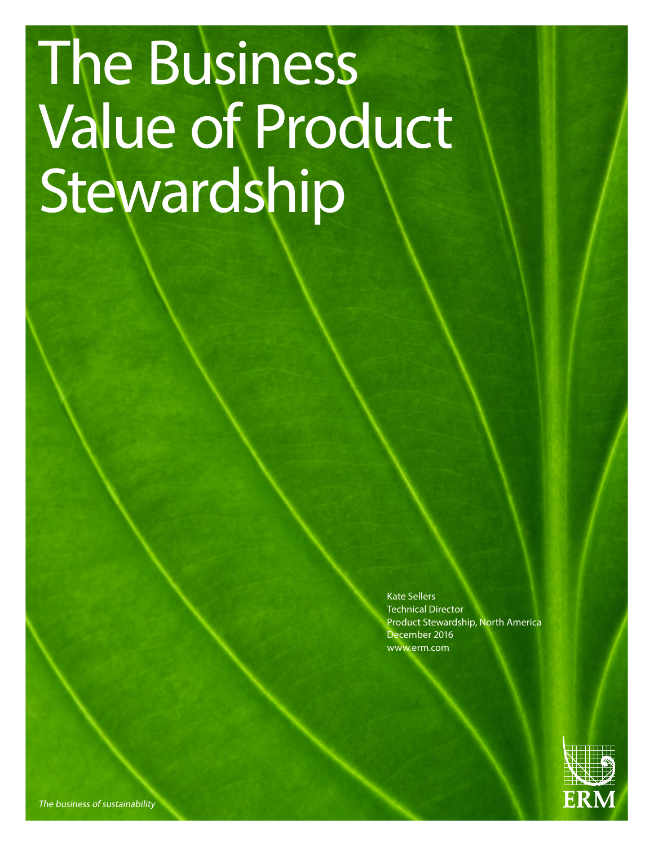# The Business Value of Product Stewardship

Kate Sellers Technical Director Product Stewardship, North America December 2016 www.erm.com



The business of sustainability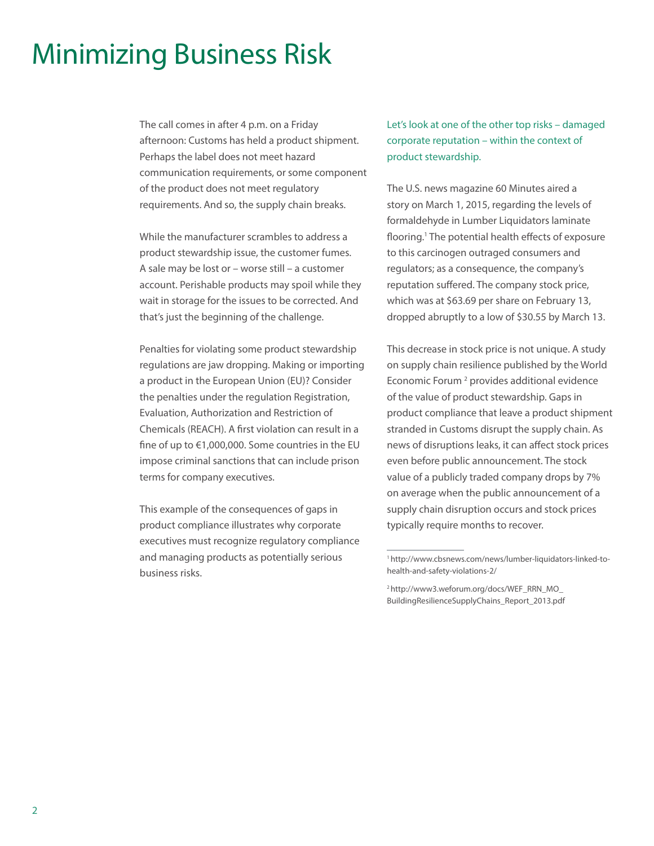# Minimizing Business Risk

The call comes in after 4 p.m. on a Friday afternoon: Customs has held a product shipment. Perhaps the label does not meet hazard communication requirements, or some component of the product does not meet regulatory requirements. And so, the supply chain breaks.

While the manufacturer scrambles to address a product stewardship issue, the customer fumes. A sale may be lost or – worse still – a customer account. Perishable products may spoil while they wait in storage for the issues to be corrected. And that's just the beginning of the challenge.

Penalties for violating some product stewardship regulations are jaw dropping. Making or importing a product in the European Union (EU)? Consider the penalties under the regulation Registration, Evaluation, Authorization and Restriction of Chemicals (REACH). A first violation can result in a fine of up to €1,000,000. Some countries in the EU impose criminal sanctions that can include prison terms for company executives.

This example of the consequences of gaps in product compliance illustrates why corporate executives must recognize regulatory compliance and managing products as potentially serious business risks.

Let's look at one of the other top risks – damaged corporate reputation – within the context of product stewardship.

The U.S. news magazine 60 Minutes aired a story on March 1, 2015, regarding the levels of formaldehyde in Lumber Liquidators laminate flooring.<sup>1</sup> The potential health effects of exposure to this carcinogen outraged consumers and regulators; as a consequence, the company's reputation suffered. The company stock price, which was at \$63.69 per share on February 13, dropped abruptly to a low of \$30.55 by March 13.

This decrease in stock price is not unique. A study on supply chain resilience published by the World Economic Forum<sup>2</sup> provides additional evidence of the value of product stewardship. Gaps in product compliance that leave a product shipment stranded in Customs disrupt the supply chain. As news of disruptions leaks, it can affect stock prices even before public announcement. The stock value of a publicly traded company drops by 7% on average when the public announcement of a supply chain disruption occurs and stock prices typically require months to recover.

2 http://www3.weforum.org/docs/WEF\_RRN\_MO\_ BuildingResilienceSupplyChains\_Report\_2013.pdf

<sup>1</sup> http://www.cbsnews.com/news/lumber-liquidators-linked-tohealth-and-safety-violations-2/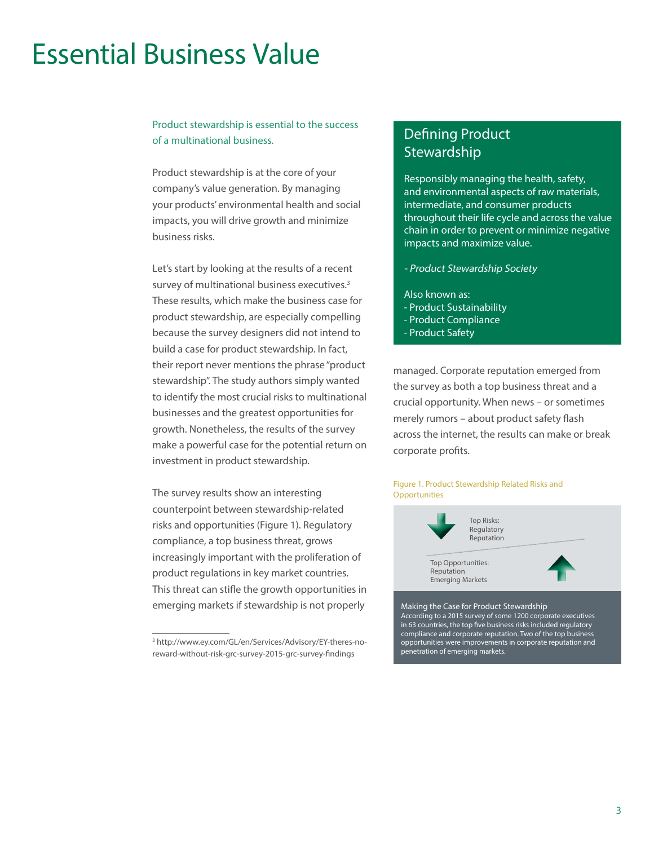# Essential Business Value

### Product stewardship is essential to the success of a multinational business.

Product stewardship is at the core of your company's value generation. By managing your products' environmental health and social impacts, you will drive growth and minimize business risks.

Let's start by looking at the results of a recent survey of multinational business executives.3 These results, which make the business case for product stewardship, are especially compelling because the survey designers did not intend to build a case for product stewardship. In fact, their report never mentions the phrase "product stewardship". The study authors simply wanted to identify the most crucial risks to multinational businesses and the greatest opportunities for growth. Nonetheless, the results of the survey make a powerful case for the potential return on investment in product stewardship.

The survey results show an interesting counterpoint between stewardship-related risks and opportunities (Figure 1). Regulatory compliance, a top business threat, grows increasingly important with the proliferation of product regulations in key market countries. This threat can stifle the growth opportunities in emerging markets if stewardship is not properly

## Defining Product **Stewardship**

Responsibly managing the health, safety, and environmental aspects of raw materials, intermediate, and consumer products throughout their life cycle and across the value chain in order to prevent or minimize negative impacts and maximize value.

- Product Stewardship Society
- Also known as: - Product Sustainability - Product Compliance
- Product Safety

managed. Corporate reputation emerged from the survey as both a top business threat and a crucial opportunity. When news – or sometimes merely rumors – about product safety flash across the internet, the results can make or break corporate profits.

#### Figure 1. Product Stewardship Related Risks and **Opportunities**



Making the Case for Product Stewardship According to a 2015 survey of some 1200 corporate executives in 63 countries, the top five business risks included regulatory compliance and corporate reputation. Two of the top business opportunities were improvements in corporate reputation and penetration of emerging markets.

<sup>3</sup> http://www.ey.com/GL/en/Services/Advisory/EY-theres-noreward-without-risk-grc-survey-2015-grc-survey-findings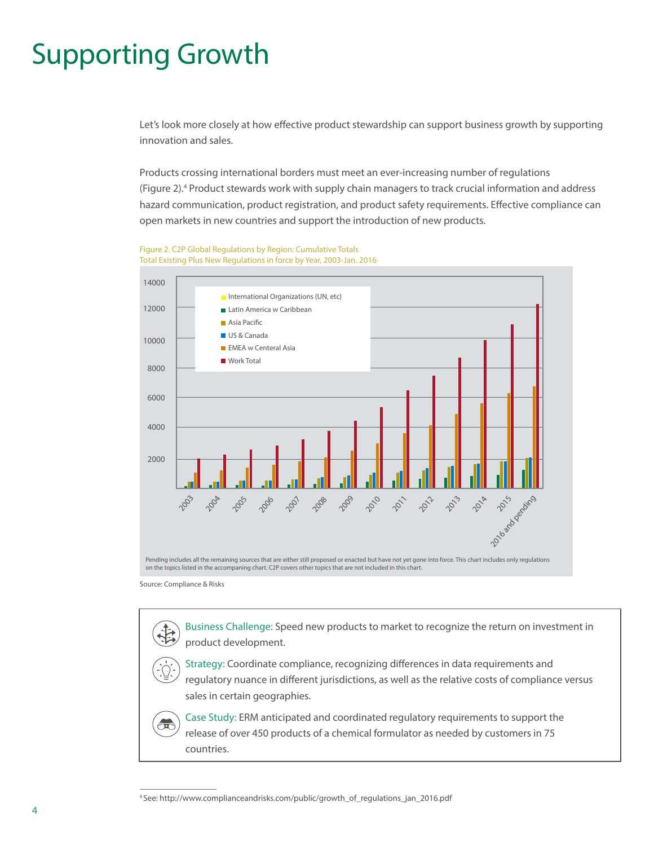# Supporting Growth

Let's look more closely at how effective product stewardship can support business growth by supporting innovation and sales.

Products crossing international borders must meet an ever-increasing number of regulations (Figure 2).4 Product stewards work with supply chain managers to track crucial information and address hazard communication, product registration, and product safety requirements. Effective compliance can open markets in new countries and support the introduction of new products.

Figure 2. C2P Global Regulations by Region: Cumulative Totals Total Existing Plus New Regulations in force by Year, 2003-Jan. 2016



Source: Compliance & Risks

Business Challenge: Speed new products to market to recognize the return on investment in product development.

Strategy: Coordinate compliance, recognizing differences in data requirements and regulatory nuance in different jurisdictions, as well as the relative costs of compliance versus sales in certain geographies.

Case Study: ERM anticipated and coordinated regulatory requirements to support the release of over 450 products of a chemical formulator as needed by customers in 75 countries.

<sup>4</sup> See: http://www.complianceandrisks.com/public/growth\_of\_regulations\_jan\_2016.pdf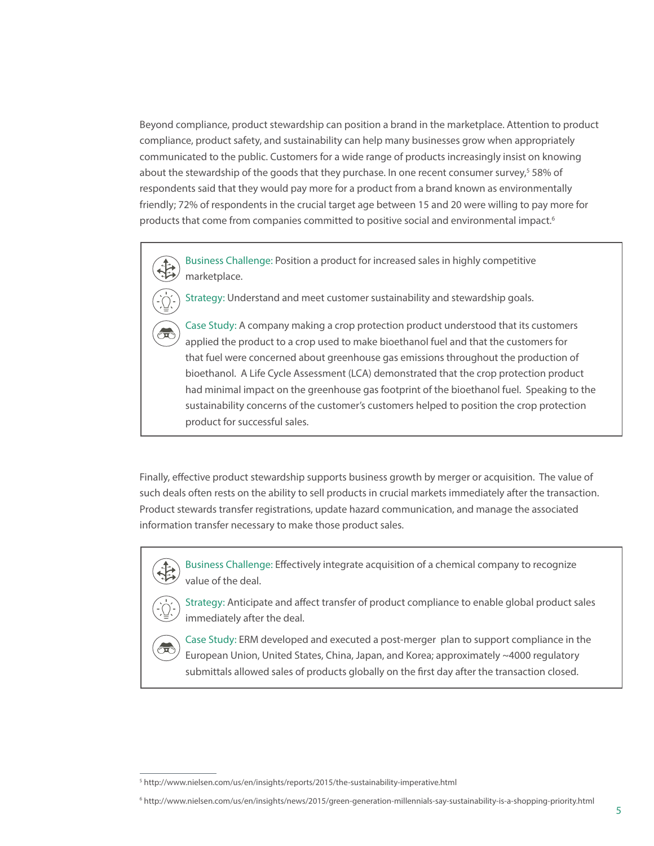Beyond compliance, product stewardship can position a brand in the marketplace. Attention to product compliance, product safety, and sustainability can help many businesses grow when appropriately communicated to the public. Customers for a wide range of products increasingly insist on knowing about the stewardship of the goods that they purchase. In one recent consumer survey,<sup>5</sup> 58% of respondents said that they would pay more for a product from a brand known as environmentally friendly; 72% of respondents in the crucial target age between 15 and 20 were willing to pay more for products that come from companies committed to positive social and environmental impact.<sup>6</sup>

Business Challenge: Position a product for increased sales in highly competitive marketplace.

Strategy: Understand and meet customer sustainability and stewardship goals.

Case Study: A company making a crop protection product understood that its customers applied the product to a crop used to make bioethanol fuel and that the customers for that fuel were concerned about greenhouse gas emissions throughout the production of bioethanol. A Life Cycle Assessment (LCA) demonstrated that the crop protection product had minimal impact on the greenhouse gas footprint of the bioethanol fuel. Speaking to the sustainability concerns of the customer's customers helped to position the crop protection product for successful sales.

Finally, effective product stewardship supports business growth by merger or acquisition. The value of such deals often rests on the ability to sell products in crucial markets immediately after the transaction. Product stewards transfer registrations, update hazard communication, and manage the associated information transfer necessary to make those product sales.

Business Challenge: Effectively integrate acquisition of a chemical company to recognize value of the deal.



Strategy: Anticipate and affect transfer of product compliance to enable global product sales immediately after the deal.



Case Study: ERM developed and executed a post-merger plan to support compliance in the European Union, United States, China, Japan, and Korea; approximately ~4000 regulatory submittals allowed sales of products globally on the first day after the transaction closed.

<sup>5</sup> http://www.nielsen.com/us/en/insights/reports/2015/the-sustainability-imperative.html

<sup>6</sup> http://www.nielsen.com/us/en/insights/news/2015/green-generation-millennials-say-sustainability-is-a-shopping-priority.html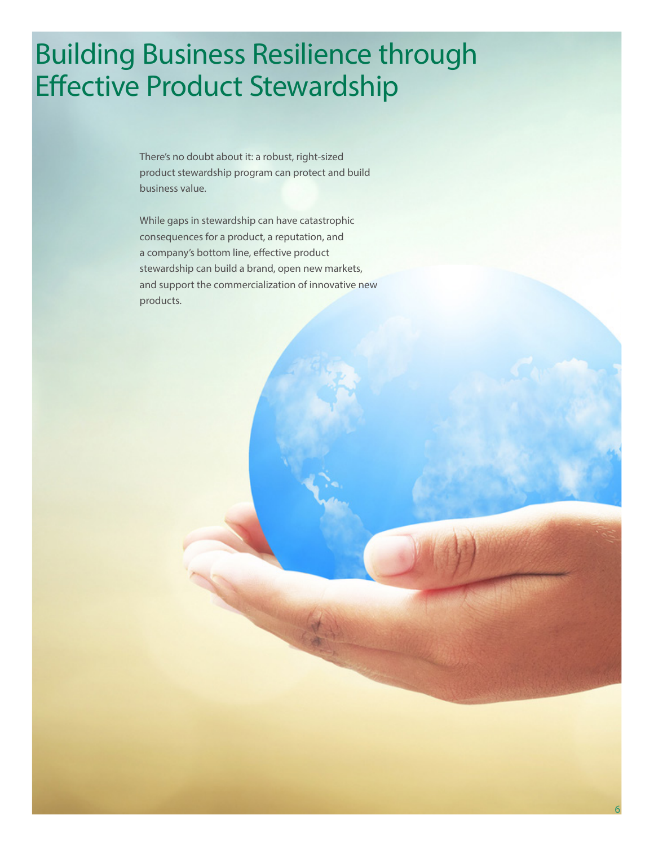# Building Business Resilience through Effective Product Stewardship

There's no doubt about it: a robust, right-sized product stewardship program can protect and build business value.

While gaps in stewardship can have catastrophic consequences for a product, a reputation, and a company's bottom line, effective product stewardship can build a brand, open new markets, and support the commercialization of innovative new products.

6